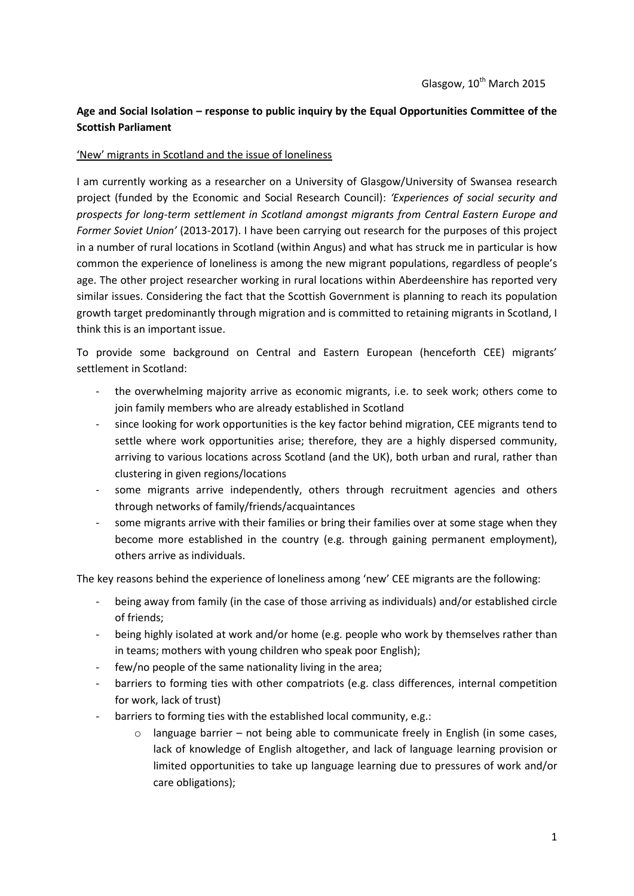# **Age and Social Isolation – response to public inquiry by the Equal Opportunities Committee of the Scottish Parliament**

## 'New' migrants in Scotland and the issue of loneliness

I am currently working as a researcher on a University of Glasgow/University of Swansea research project (funded by the Economic and Social Research Council): *'Experiences of social security and prospects for long-term settlement in Scotland amongst migrants from Central Eastern Europe and Former Soviet Union'* (2013-2017). I have been carrying out research for the purposes of this project in a number of rural locations in Scotland (within Angus) and what has struck me in particular is how common the experience of loneliness is among the new migrant populations, regardless of people's age. The other project researcher working in rural locations within Aberdeenshire has reported very similar issues. Considering the fact that the Scottish Government is planning to reach its population growth target predominantly through migration and is committed to retaining migrants in Scotland, I think this is an important issue.

To provide some background on Central and Eastern European (henceforth CEE) migrants' settlement in Scotland:

- the overwhelming majority arrive as economic migrants, i.e. to seek work; others come to join family members who are already established in Scotland
- since looking for work opportunities is the key factor behind migration, CEE migrants tend to settle where work opportunities arise; therefore, they are a highly dispersed community, arriving to various locations across Scotland (and the UK), both urban and rural, rather than clustering in given regions/locations
- some migrants arrive independently, others through recruitment agencies and others through networks of family/friends/acquaintances
- some migrants arrive with their families or bring their families over at some stage when they become more established in the country (e.g. through gaining permanent employment), others arrive as individuals.

The key reasons behind the experience of loneliness among 'new' CEE migrants are the following:

- being away from family (in the case of those arriving as individuals) and/or established circle of friends;
- being highly isolated at work and/or home (e.g. people who work by themselves rather than in teams; mothers with young children who speak poor English);
- few/no people of the same nationality living in the area;
- barriers to forming ties with other compatriots (e.g. class differences, internal competition for work, lack of trust)
- barriers to forming ties with the established local community, e.g.:
	- o language barrier not being able to communicate freely in English (in some cases, lack of knowledge of English altogether, and lack of language learning provision or limited opportunities to take up language learning due to pressures of work and/or care obligations);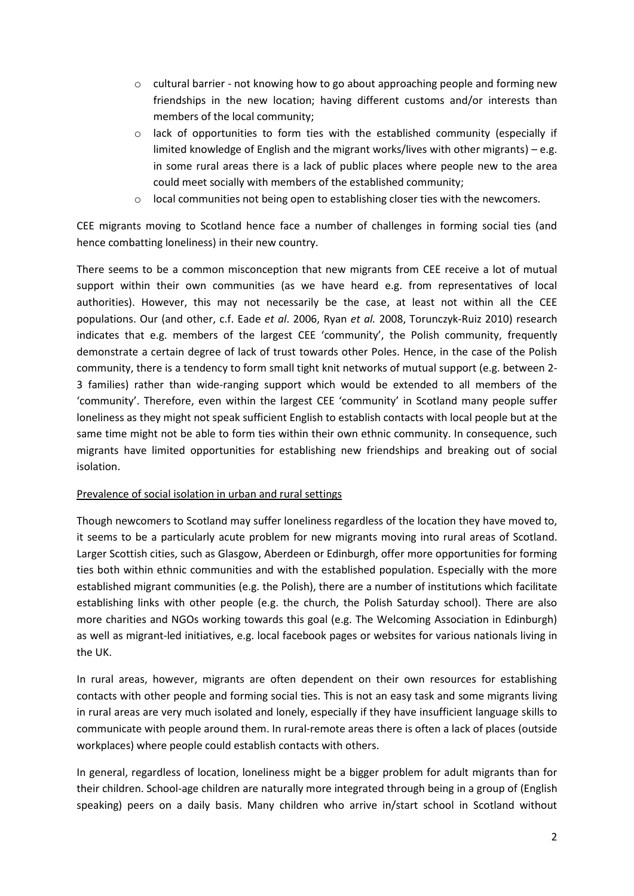- $\circ$  cultural barrier not knowing how to go about approaching people and forming new friendships in the new location; having different customs and/or interests than members of the local community;
- o lack of opportunities to form ties with the established community (especially if limited knowledge of English and the migrant works/lives with other migrants) – e.g. in some rural areas there is a lack of public places where people new to the area could meet socially with members of the established community;
- $\circ$  local communities not being open to establishing closer ties with the newcomers.

CEE migrants moving to Scotland hence face a number of challenges in forming social ties (and hence combatting loneliness) in their new country.

There seems to be a common misconception that new migrants from CEE receive a lot of mutual support within their own communities (as we have heard e.g. from representatives of local authorities). However, this may not necessarily be the case, at least not within all the CEE populations. Our (and other, c.f. Eade *et al*. 2006, Ryan *et al.* 2008, Torunczyk-Ruiz 2010) research indicates that e.g. members of the largest CEE 'community', the Polish community, frequently demonstrate a certain degree of lack of trust towards other Poles. Hence, in the case of the Polish community, there is a tendency to form small tight knit networks of mutual support (e.g. between 2- 3 families) rather than wide-ranging support which would be extended to all members of the 'community'. Therefore, even within the largest CEE 'community' in Scotland many people suffer loneliness as they might not speak sufficient English to establish contacts with local people but at the same time might not be able to form ties within their own ethnic community. In consequence, such migrants have limited opportunities for establishing new friendships and breaking out of social isolation.

#### Prevalence of social isolation in urban and rural settings

Though newcomers to Scotland may suffer loneliness regardless of the location they have moved to, it seems to be a particularly acute problem for new migrants moving into rural areas of Scotland. Larger Scottish cities, such as Glasgow, Aberdeen or Edinburgh, offer more opportunities for forming ties both within ethnic communities and with the established population. Especially with the more established migrant communities (e.g. the Polish), there are a number of institutions which facilitate establishing links with other people (e.g. the church, the Polish Saturday school). There are also more charities and NGOs working towards this goal (e.g. The Welcoming Association in Edinburgh) as well as migrant-led initiatives, e.g. local facebook pages or websites for various nationals living in the UK.

In rural areas, however, migrants are often dependent on their own resources for establishing contacts with other people and forming social ties. This is not an easy task and some migrants living in rural areas are very much isolated and lonely, especially if they have insufficient language skills to communicate with people around them. In rural-remote areas there is often a lack of places (outside workplaces) where people could establish contacts with others.

In general, regardless of location, loneliness might be a bigger problem for adult migrants than for their children. School-age children are naturally more integrated through being in a group of (English speaking) peers on a daily basis. Many children who arrive in/start school in Scotland without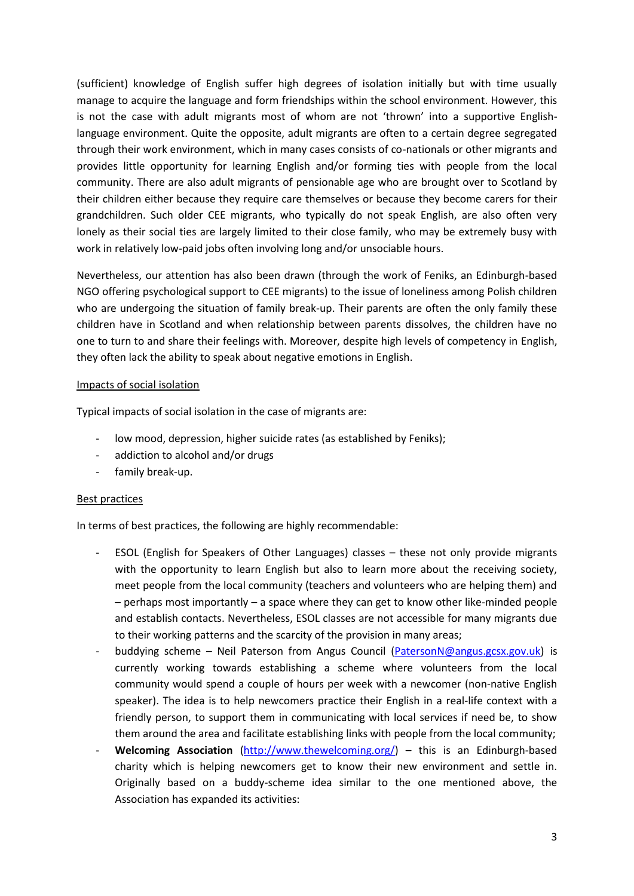(sufficient) knowledge of English suffer high degrees of isolation initially but with time usually manage to acquire the language and form friendships within the school environment. However, this is not the case with adult migrants most of whom are not 'thrown' into a supportive Englishlanguage environment. Quite the opposite, adult migrants are often to a certain degree segregated through their work environment, which in many cases consists of co-nationals or other migrants and provides little opportunity for learning English and/or forming ties with people from the local community. There are also adult migrants of pensionable age who are brought over to Scotland by their children either because they require care themselves or because they become carers for their grandchildren. Such older CEE migrants, who typically do not speak English, are also often very lonely as their social ties are largely limited to their close family, who may be extremely busy with work in relatively low-paid jobs often involving long and/or unsociable hours.

Nevertheless, our attention has also been drawn (through the work of Feniks, an Edinburgh-based NGO offering psychological support to CEE migrants) to the issue of loneliness among Polish children who are undergoing the situation of family break-up. Their parents are often the only family these children have in Scotland and when relationship between parents dissolves, the children have no one to turn to and share their feelings with. Moreover, despite high levels of competency in English, they often lack the ability to speak about negative emotions in English.

## Impacts of social isolation

Typical impacts of social isolation in the case of migrants are:

- low mood, depression, higher suicide rates (as established by Feniks);
- addiction to alcohol and/or drugs
- family break-up.

# Best practices

In terms of best practices, the following are highly recommendable:

- ESOL (English for Speakers of Other Languages) classes these not only provide migrants with the opportunity to learn English but also to learn more about the receiving society, meet people from the local community (teachers and volunteers who are helping them) and – perhaps most importantly – a space where they can get to know other like-minded people and establish contacts. Nevertheless, ESOL classes are not accessible for many migrants due to their working patterns and the scarcity of the provision in many areas;
- buddying scheme Neil Paterson from Angus Council [\(PatersonN@angus.gcsx.gov.uk\)](mailto:PatersonN@angus.gcsx.gov.uk) is currently working towards establishing a scheme where volunteers from the local community would spend a couple of hours per week with a newcomer (non-native English speaker). The idea is to help newcomers practice their English in a real-life context with a friendly person, to support them in communicating with local services if need be, to show them around the area and facilitate establishing links with people from the local community;
- Welcoming Association [\(http://www.thewelcoming.org/\)](http://www.thewelcoming.org/) this is an Edinburgh-based charity which is helping newcomers get to know their new environment and settle in. Originally based on a buddy-scheme idea similar to the one mentioned above, the Association has expanded its activities: